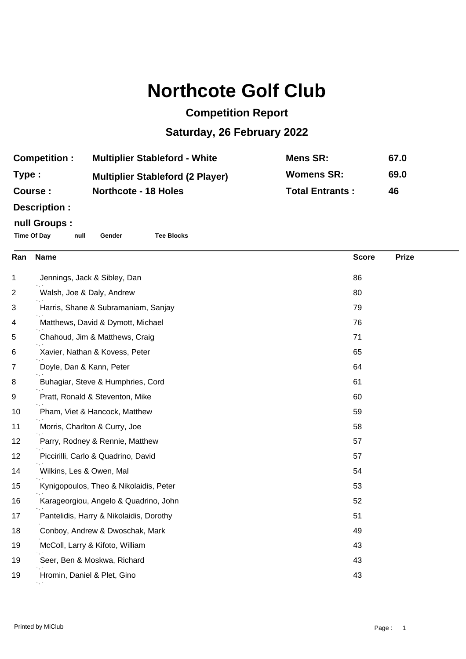## **Northcote Golf Club**

## **Competition Report**

## **Saturday, 26 February 2022**

| <b>Multiplier Stableford - White</b> | Mens SR:                                                               | 67.0 |
|--------------------------------------|------------------------------------------------------------------------|------|
|                                      | <b>Womens SR:</b>                                                      | 69.0 |
|                                      | <b>Total Entrants:</b>                                                 | 46   |
|                                      | <b>Multiplier Stableford (2 Player)</b><br><b>Northcote - 18 Holes</b> |      |

**Description :**

## **null Groups :**

**Time Of Day null Gender Tee Blocks**

| Ran | <b>Name</b>                             | <b>Score</b> | <b>Prize</b> |
|-----|-----------------------------------------|--------------|--------------|
| 1   | Jennings, Jack & Sibley, Dan            | 86           |              |
| 2   | Walsh, Joe & Daly, Andrew               | 80           |              |
| 3   | Harris, Shane & Subramaniam, Sanjay     | 79           |              |
| 4   | Matthews, David & Dymott, Michael       | 76           |              |
| 5   | Chahoud, Jim & Matthews, Craig          | 71           |              |
| 6   | Xavier, Nathan & Kovess, Peter          | 65           |              |
| 7   | Doyle, Dan & Kann, Peter                | 64           |              |
| 8   | Buhagiar, Steve & Humphries, Cord       | 61           |              |
| 9   | Pratt, Ronald & Steventon, Mike         | 60           |              |
| 10  | Pham, Viet & Hancock, Matthew           | 59           |              |
| 11  | Morris, Charlton & Curry, Joe           | 58           |              |
| 12  | Parry, Rodney & Rennie, Matthew         | 57           |              |
| 12  | Piccirilli, Carlo & Quadrino, David     | 57           |              |
| 14  | Wilkins, Les & Owen, Mal                | 54           |              |
| 15  | Kynigopoulos, Theo & Nikolaidis, Peter  | 53           |              |
| 16  | Karageorgiou, Angelo & Quadrino, John   | 52           |              |
| 17  | Pantelidis, Harry & Nikolaidis, Dorothy | 51           |              |
| 18  | Conboy, Andrew & Dwoschak, Mark         | 49           |              |
| 19  | McColl, Larry & Kifoto, William         | 43           |              |
| 19  | Seer, Ben & Moskwa, Richard             | 43           |              |
| 19  | Hromin, Daniel & Plet, Gino             | 43           |              |
|     |                                         |              |              |